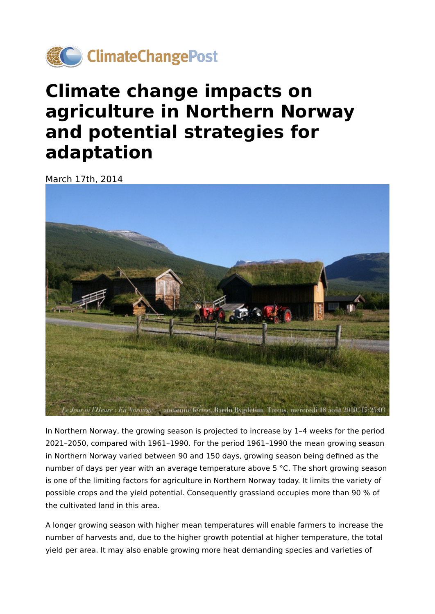

## **Climate change impacts on agriculture in Northern Norway and potential strategies for adaptation**

March 17th, 2014



In Northern Norway, the growing season is projected to increase by 1–4 weeks for the period 2021–2050, compared with 1961–1990. For the period 1961–1990 the mean growing season in Northern Norway varied between 90 and 150 days, growing season being defined as the number of days per year with an average temperature above 5 °C. The short growing season is one of the limiting factors for agriculture in Northern Norway today. It limits the variety of possible crops and the yield potential. Consequently grassland occupies more than 90 % of the cultivated land in this area.

A longer growing season with higher mean temperatures will enable farmers to increase the number of harvests and, due to the higher growth potential at higher temperature, the total yield per area. It may also enable growing more heat demanding species and varieties of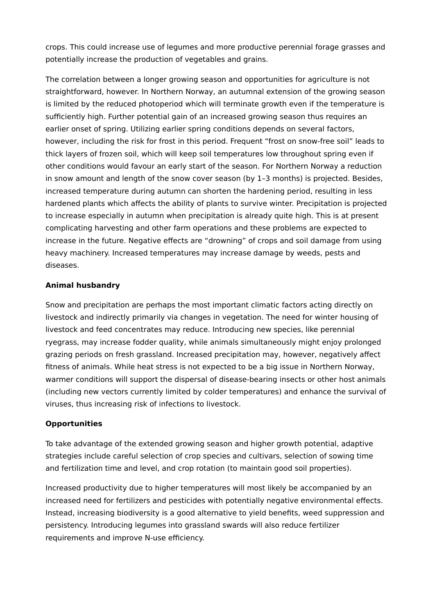crops. This could increase use of legumes and more productive perennial forage grasses and potentially increase the production of vegetables and grains.

The correlation between a longer growing season and opportunities for agriculture is not straightforward, however. In Northern Norway, an autumnal extension of the growing season is limited by the reduced photoperiod which will terminate growth even if the temperature is sufficiently high. Further potential gain of an increased growing season thus requires an earlier onset of spring. Utilizing earlier spring conditions depends on several factors, however, including the risk for frost in this period. Frequent "frost on snow-free soil" leads to thick layers of frozen soil, which will keep soil temperatures low throughout spring even if other conditions would favour an early start of the season. For Northern Norway a reduction in snow amount and length of the snow cover season (by 1–3 months) is projected. Besides, increased temperature during autumn can shorten the hardening period, resulting in less hardened plants which affects the ability of plants to survive winter. Precipitation is projected to increase especially in autumn when precipitation is already quite high. This is at present complicating harvesting and other farm operations and these problems are expected to increase in the future. Negative effects are "drowning" of crops and soil damage from using heavy machinery. Increased temperatures may increase damage by weeds, pests and diseases.

## **Animal husbandry**

Snow and precipitation are perhaps the most important climatic factors acting directly on livestock and indirectly primarily via changes in vegetation. The need for winter housing of livestock and feed concentrates may reduce. Introducing new species, like perennial ryegrass, may increase fodder quality, while animals simultaneously might enjoy prolonged grazing periods on fresh grassland. Increased precipitation may, however, negatively affect fitness of animals. While heat stress is not expected to be a big issue in Northern Norway, warmer conditions will support the dispersal of disease-bearing insects or other host animals (including new vectors currently limited by colder temperatures) and enhance the survival of viruses, thus increasing risk of infections to livestock.

## **Opportunities**

To take advantage of the extended growing season and higher growth potential, adaptive strategies include careful selection of crop species and cultivars, selection of sowing time and fertilization time and level, and crop rotation (to maintain good soil properties).

Increased productivity due to higher temperatures will most likely be accompanied by an increased need for fertilizers and pesticides with potentially negative environmental effects. Instead, increasing biodiversity is a good alternative to yield benefits, weed suppression and persistency. Introducing legumes into grassland swards will also reduce fertilizer requirements and improve N-use efficiency.